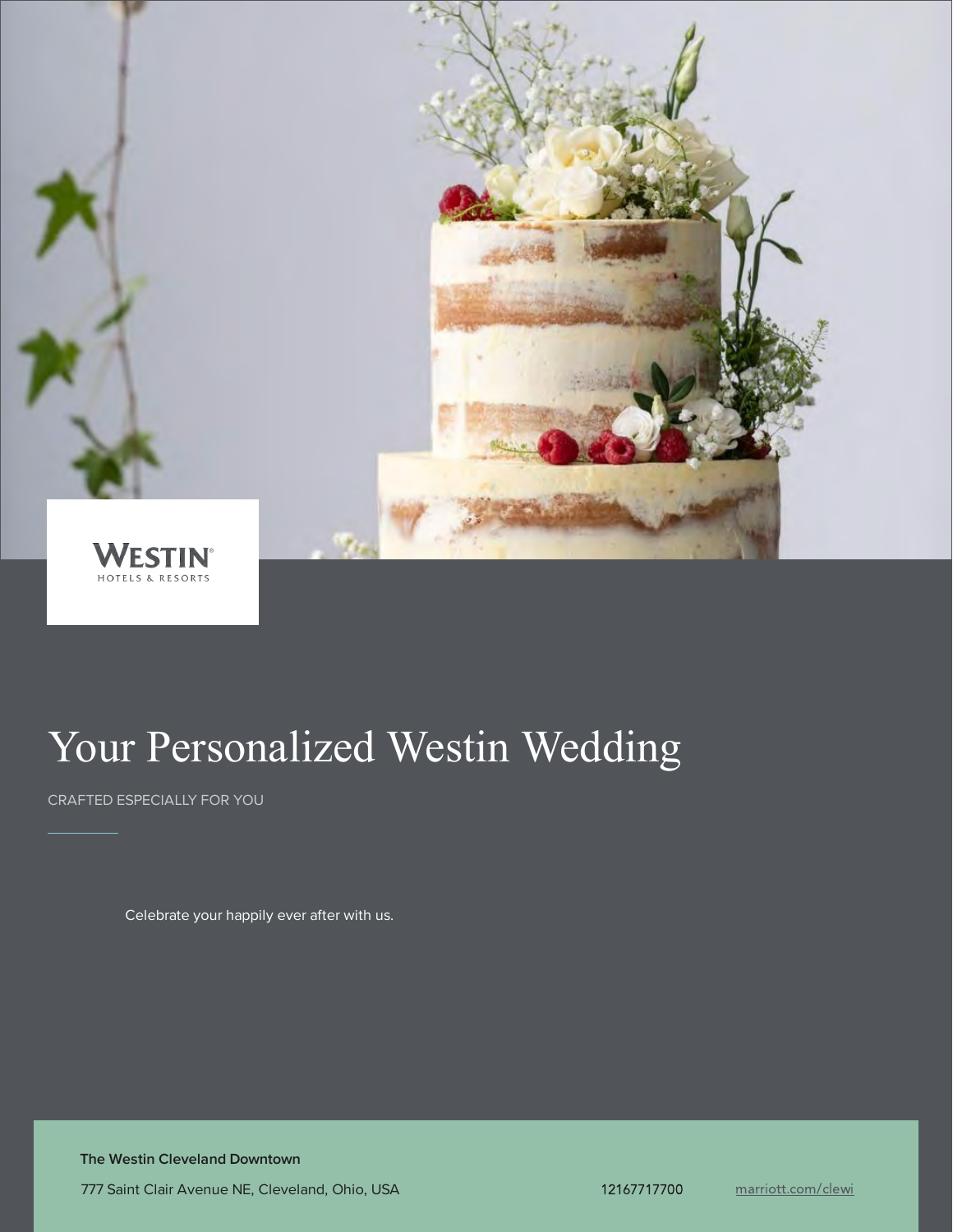

# Your Personalized Westin Wedding

CRAFTED ESPECIALLY FOR YOU

Celebrate your happily ever after with us.

**The Westin Cleveland Downtown**

777 Saint Clair Avenue NE, Cleveland, Ohio, USA 12167717700 [marriott.com/clewi](https://marriott.com/CLEWI)ng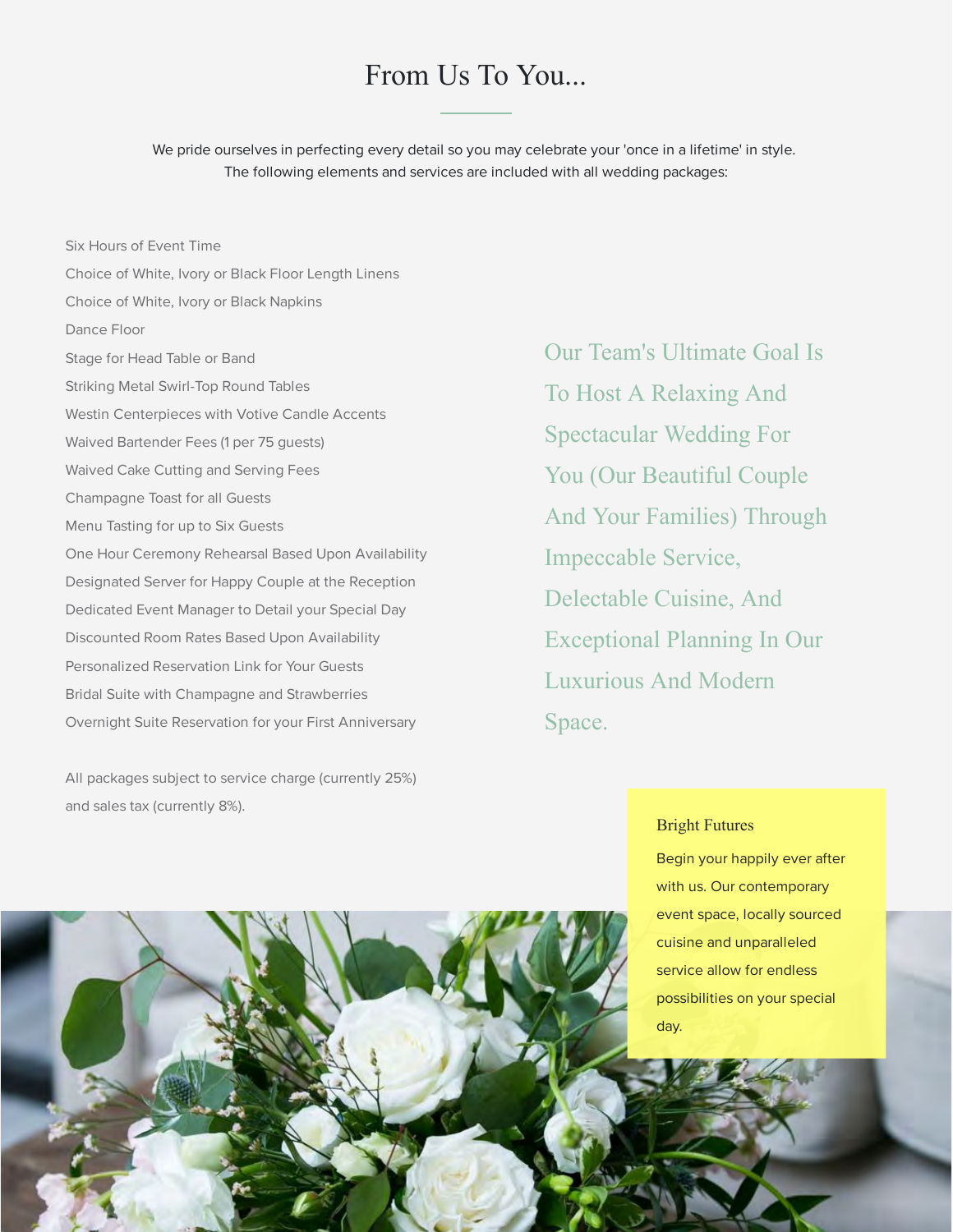## From Us To You...

We pride ourselves in perfecting every detail so you may celebrate your 'once in a lifetime' in style. The following elements and services are included with all wedding packages:

Six Hours of Event Time Choice of White, Ivory or Black Floor Length Linens Choice of White, Ivory or Black Napkins Dance Floor Stage for Head Table or Band Striking Metal Swirl-Top Round Tables Westin Centerpieces with Votive Candle Accents Waived Bartender Fees (1 per 75 guests) Waived Cake Cutting and Serving Fees Champagne Toast for all Guests Menu Tasting for up to Six Guests One Hour Ceremony Rehearsal Based Upon Availability Designated Server for Happy Couple at the Reception Dedicated Event Manager to Detail your Special Day Discounted Room Rates Based Upon Availability Personalized Reservation Link for Your Guests Bridal Suite with Champagne and Strawberries Overnight Suite Reservation for your First Anniversary

All packages subject to service charge (currently 25%) and sales tax (currently 8%).

Our Team's Ultimate Goal Is To Host A Relaxing And Spectacular Wedding For You (Our Beautiful Couple And Your Families) Through Impeccable Service, Delectable Cuisine, And Exceptional Planning In Our Luxurious And Modern Space.

## Bright Futures

Begin your happily ever after with us. Our contemporary event space, locally sourced cuisine and unparalleled service allow for endless possibilities on your special day.

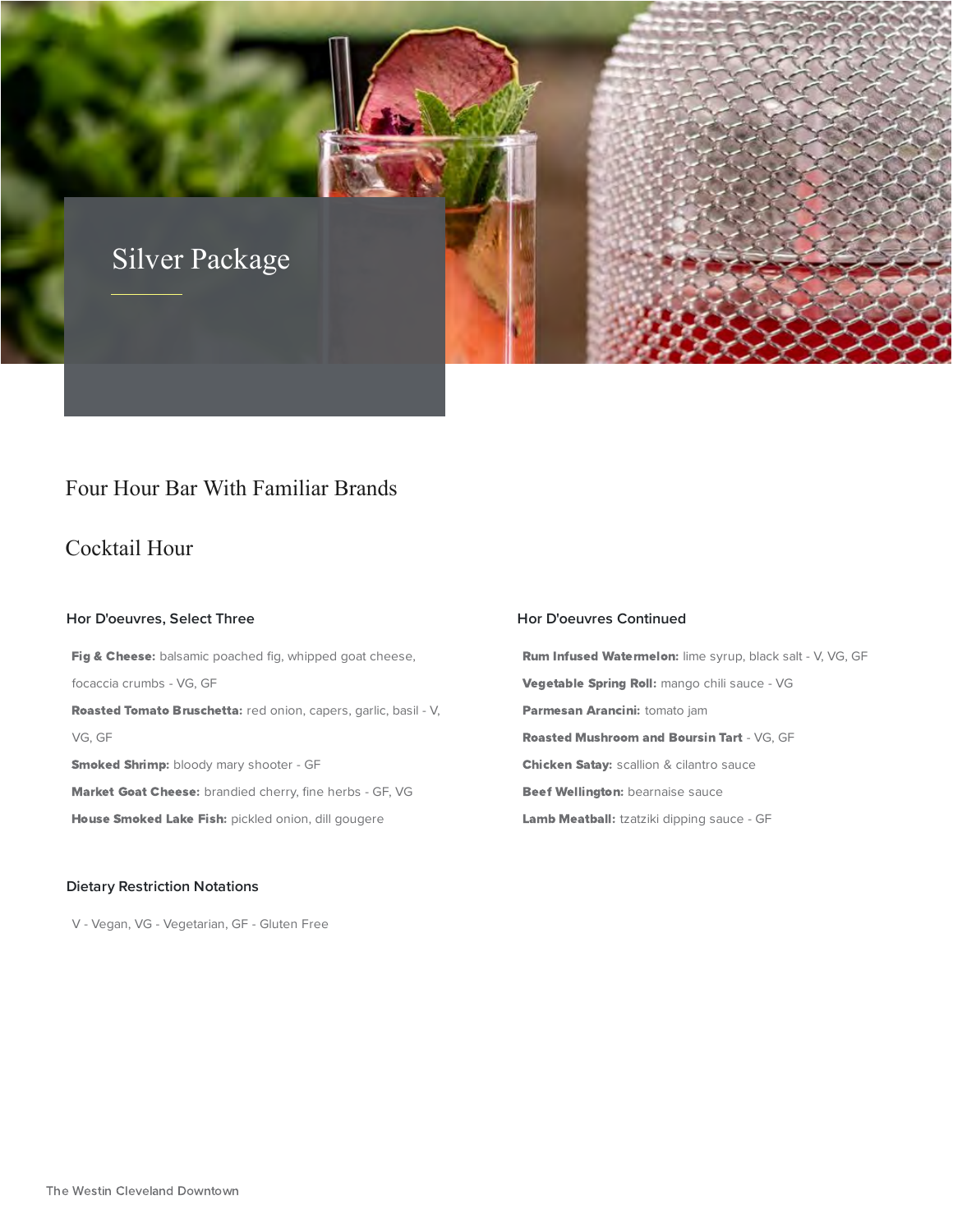

## Four Hour Bar With Familiar Brands

## Cocktail Hour

## **Hor D'oeuvres, Select Three**

Fig & Cheese: balsamic poached fig, whipped goat cheese, focaccia crumbs - VG, GF Roasted Tomato Bruschetta: red onion, capers, garlic, basil - V, VG, GF **Smoked Shrimp:** bloody mary shooter - GF Market Goat Cheese: brandied cherry, fine herbs - GF, VG

House Smoked Lake Fish: pickled onion, dill gougere

## **Dietary Restriction Notations**

V - Vegan, VG - Vegetarian, GF - Gluten Free

## **Hor D'oeuvres Continued**

Rum Infused Watermelon: lime syrup, black salt - V, VG, GF Vegetable Spring Roll: mango chili sauce - VG Parmesan Arancini: tomato jam Roasted Mushroom and Boursin Tart - VG, GF Chicken Satay: scallion & cilantro sauce Beef Wellington: bearnaise sauce Lamb Meatball: tzatziki dipping sauce - GF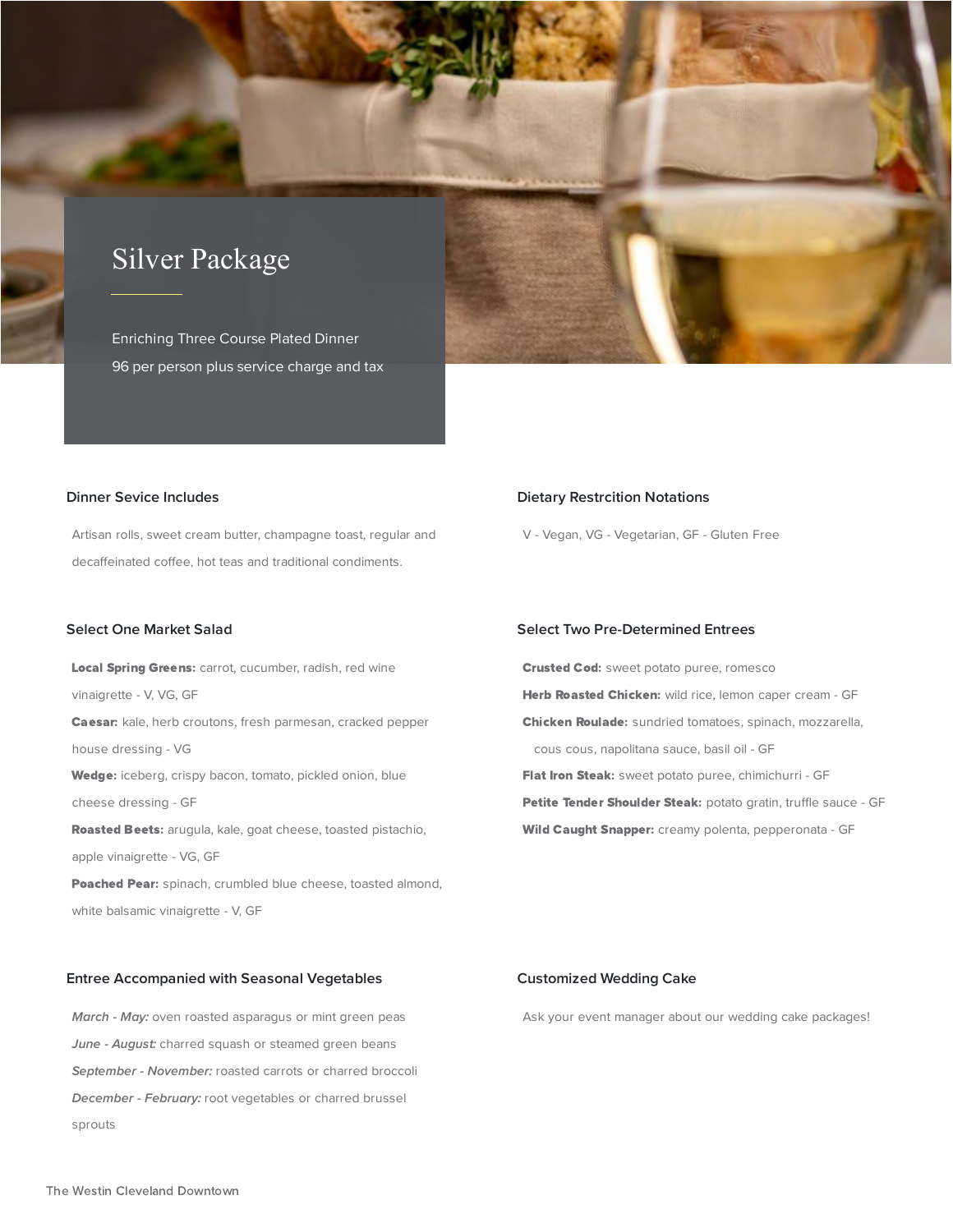## Silver Package

Enriching Three Course Plated Dinner 96 per person plus service charge and tax

## **Dinner Sevice Includes**

Artisan rolls, sweet cream butter, champagne toast, regular and decaffeinated coffee, hot teas and traditional condiments.

## **Select One Market Salad**

Local Spring Greens: carrot, cucumber, radish, red wine vinaigrette - V, VG, GF Caesar: kale, herb croutons, fresh parmesan, cracked pepper house dressing - VG Wedge: iceberg, crispy bacon, tomato, pickled onion, blue cheese dressing - GF Roasted Beets: arugula, kale, goat cheese, toasted pistachio, apple vinaigrette - VG, GF Poached Pear: spinach, crumbled blue cheese, toasted almond,

## white balsamic vinaigrette - V, GF

#### **Entree Accompanied with Seasonal Vegetables**

**March - May:** oven roasted asparagus or mint green peas **June - August:** charred squash or steamed green beans **September - November:** roasted carrots or charred broccoli **December - February:** root vegetables or charred brussel sprouts

## **Dietary Restrcition Notations**

V - Vegan, VG - Vegetarian, GF - Gluten Free

## **Select Two Pre-Determined Entrees**

**Crusted Cod:** sweet potato puree, romesco Herb Roasted Chicken: wild rice, lemon caper cream - GF Chicken Roulade: sundried tomatoes, spinach, mozzarella, cous cous, napolitana sauce, basil oil - GF Flat Iron Steak: sweet potato puree, chimichurri - GF Petite Tender Shoulder Steak: potato gratin, truffle sauce - GF Wild Caught Snapper: creamy polenta, pepperonata - GF

## **Customized Wedding Cake**

Ask your event manager about our wedding cake packages!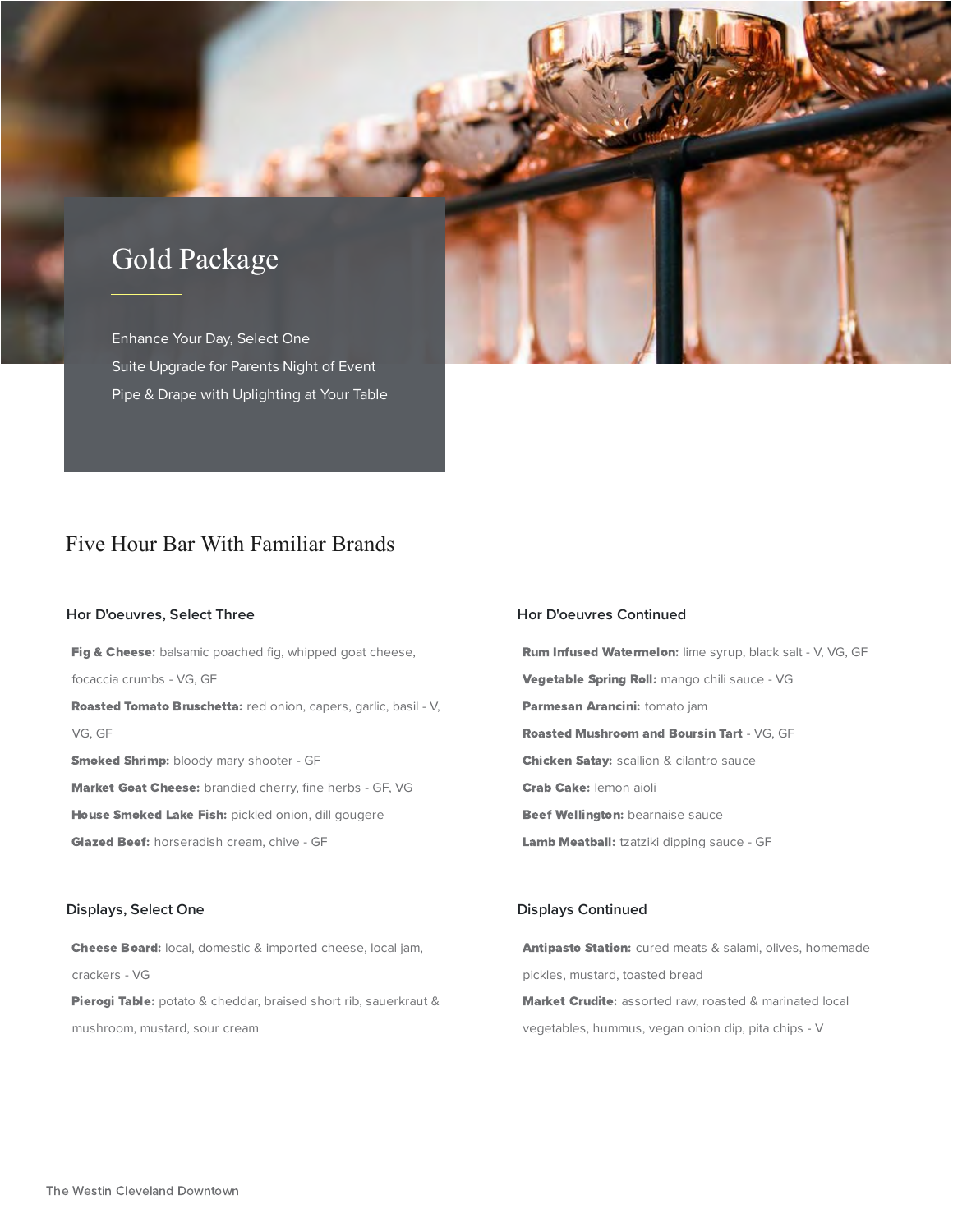## Gold Package

Enhance Your Day, Select One Suite Upgrade for Parents Night of Event Pipe & Drape with Uplighting at Your Table

## Five Hour Bar With Familiar Brands

## **Hor D'oeuvres, Select Three**

Fig & Cheese: balsamic poached fig, whipped goat cheese, focaccia crumbs - VG, GF Roasted Tomato Bruschetta: red onion, capers, garlic, basil - V, VG, GF **Smoked Shrimp:** bloody mary shooter - GF Market Goat Cheese: brandied cherry, fine herbs - GF, VG House Smoked Lake Fish: pickled onion, dill gougere

Glazed Beef: horseradish cream, chive - GF

### **Displays, Select One**

Cheese Board: local, domestic & imported cheese, local jam, crackers - VG Pierogi Table: potato & cheddar, braised short rib, sauerkraut &

mushroom, mustard, sour cream

## **Hor D'oeuvres Continued**

Rum Infused Watermelon: lime syrup, black salt - V, VG, GF Vegetable Spring Roll: mango chili sauce - VG Parmesan Arancini: tomato jam Roasted Mushroom and Boursin Tart - VG, GF Chicken Satay: scallion & cilantro sauce Crab Cake: lemon aioli Beef Wellington: bearnaise sauce Lamb Meatball: tzatziki dipping sauce - GF

## **Displays Continued**

Antipasto Station: cured meats & salami, olives, homemade pickles, mustard, toasted bread Market Crudite: assorted raw, roasted & marinated local vegetables, hummus, vegan onion dip, pita chips - V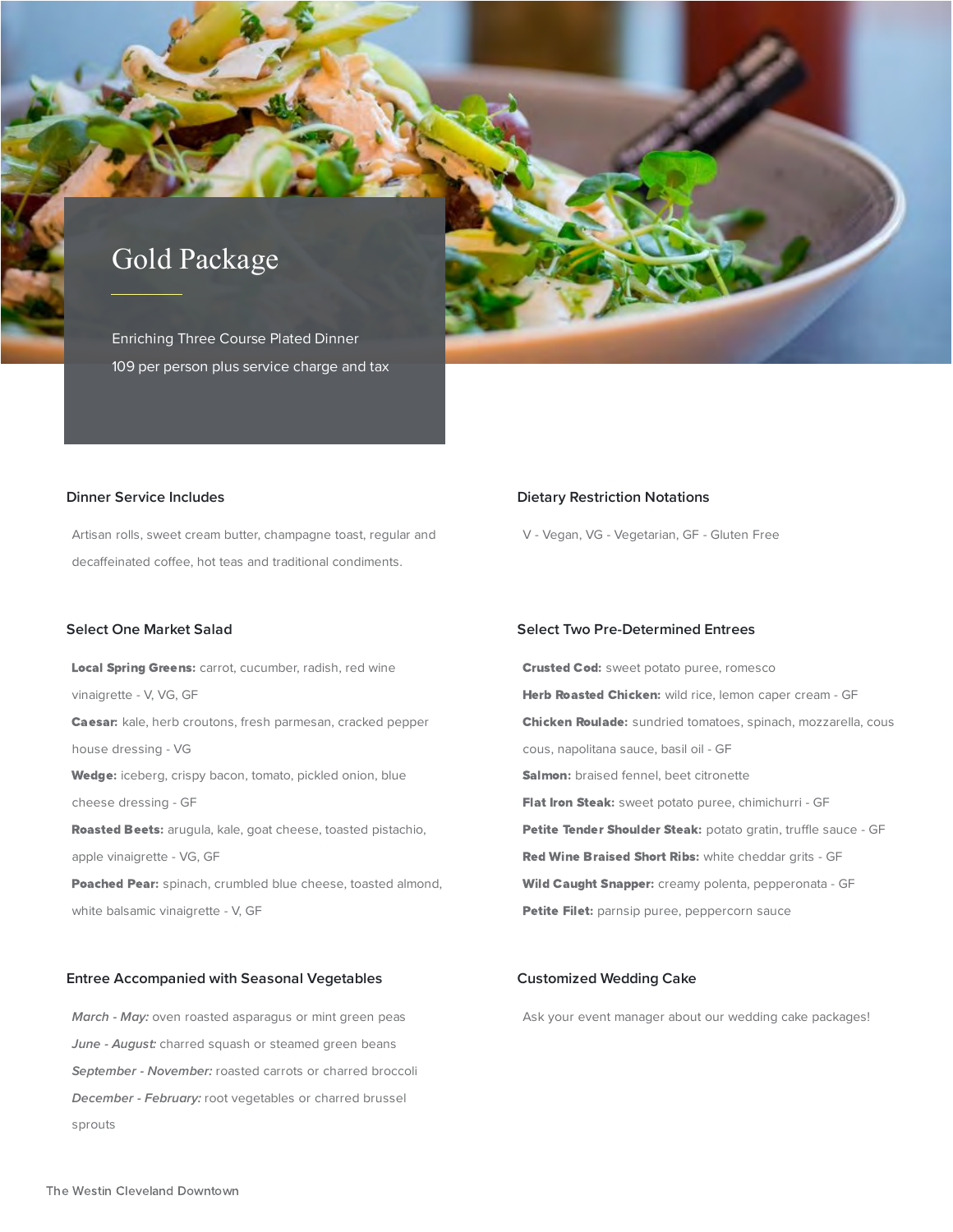## Gold Package

Enriching Three Course Plated Dinner 109 per person plus service charge and tax

### **Dinner Service Includes**

Artisan rolls, sweet cream butter, champagne toast, regular and decaffeinated coffee, hot teas and traditional condiments.

## **Select One Market Salad**

Local Spring Greens: carrot, cucumber, radish, red wine vinaigrette - V, VG, GF Caesar: kale, herb croutons, fresh parmesan, cracked pepper house dressing - VG Wedge: iceberg, crispy bacon, tomato, pickled onion, blue cheese dressing - GF Roasted Beets: arugula, kale, goat cheese, toasted pistachio, apple vinaigrette - VG, GF Poached Pear: spinach, crumbled blue cheese, toasted almond, white balsamic vinaigrette - V, GF

### **Entree Accompanied with Seasonal Vegetables**

**March - May:** oven roasted asparagus or mint green peas **June - August:** charred squash or steamed green beans **September - November:** roasted carrots or charred broccoli **December - February:** root vegetables or charred brussel sprouts

## **Dietary Restriction Notations**

V - Vegan, VG - Vegetarian, GF - Gluten Free

## **Select Two Pre-Determined Entrees**

**Crusted Cod:** sweet potato puree, romesco Herb Roasted Chicken: wild rice, lemon caper cream - GF Chicken Roulade: sundried tomatoes, spinach, mozzarella, cous cous, napolitana sauce, basil oil - GF **Salmon:** braised fennel, beet citronette Flat Iron Steak: sweet potato puree, chimichurri - GF Petite Tender Shoulder Steak: potato gratin, truffle sauce - GF Red Wine Braised Short Ribs: white cheddar grits - GF Wild Caught Snapper: creamy polenta, pepperonata - GF Petite Filet: parnsip puree, peppercorn sauce

### **Customized Wedding Cake**

Ask your event manager about our wedding cake packages!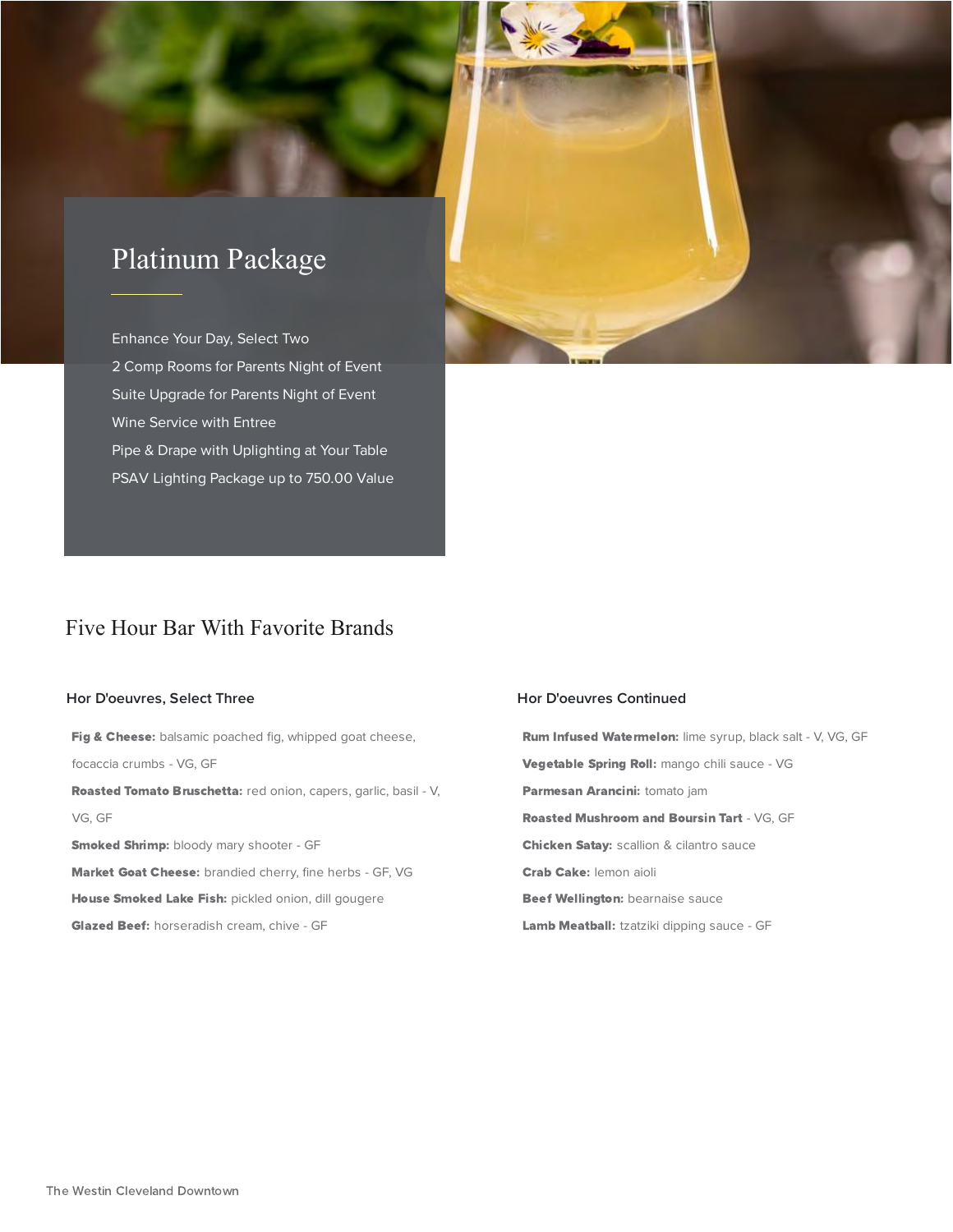## Platinum Package

Enhance Your Day, Select Two 2 Comp Rooms for Parents Night of Event Suite Upgrade for Parents Night of Event Wine Service with Entree Pipe & Drape with Uplighting at Your Table PSAV Lighting Package up to 750.00 Value

## Five Hour Bar With Favorite Brands

### **Hor D'oeuvres, Select Three**

Fig & Cheese: balsamic poached fig, whipped goat cheese, focaccia crumbs - VG, GF Roasted Tomato Bruschetta: red onion, capers, garlic, basil - V, VG, GF **Smoked Shrimp:** bloody mary shooter - GF Market Goat Cheese: brandied cherry, fine herbs - GF, VG House Smoked Lake Fish: pickled onion, dill gougere **Glazed Beef:** horseradish cream, chive - GF

### **Hor D'oeuvres Continued**

Rum Infused Watermelon: lime syrup, black salt - V, VG, GF Vegetable Spring Roll: mango chili sauce - VG Parmesan Arancini: tomato jam Roasted Mushroom and Boursin Tart - VG, GF Chicken Satay: scallion & cilantro sauce Crab Cake: lemon aioli Beef Wellington: bearnaise sauce Lamb Meatball: tzatziki dipping sauce - GF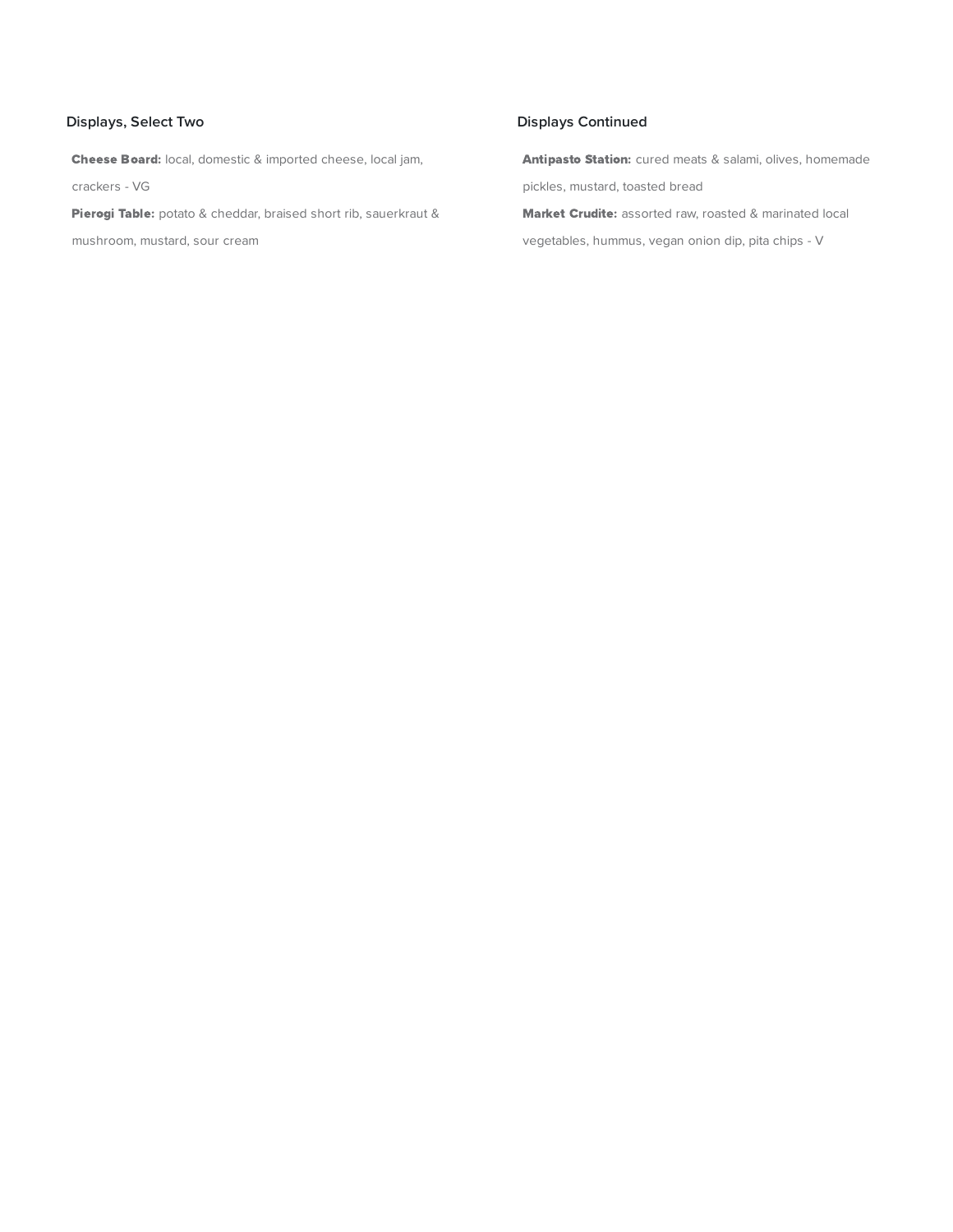## **Displays, Select Two**

Cheese Board: local, domestic & imported cheese, local jam,

crackers - VG

Pierogi Table: potato & cheddar, braised short rib, sauerkraut &

mushroom, mustard, sour cream

## **Displays Continued**

Antipasto Station: cured meats & salami, olives, homemade pickles, mustard, toasted bread

Market Crudite: assorted raw, roasted & marinated local vegetables, hummus, vegan onion dip, pita chips - V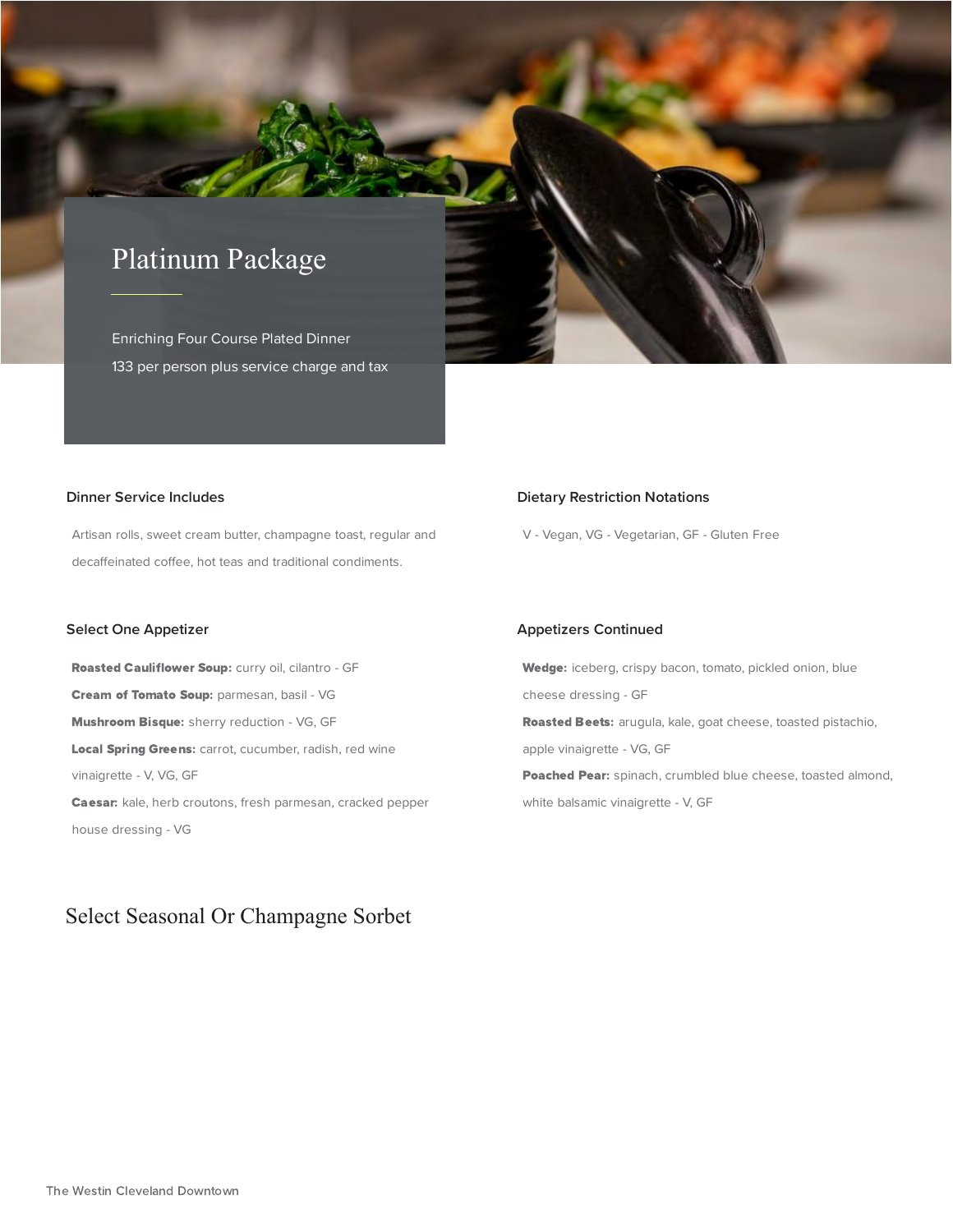## Platinum Package

Enriching Four Course Plated Dinner 133 per person plus service charge and tax

## **Dinner Service Includes**

Artisan rolls, sweet cream butter, champagne toast, regular and decaffeinated coffee, hot teas and traditional condiments.

## **Select One Appetizer**

Roasted Cauliflower Soup: curry oil, cilantro - GF Cream of Tomato Soup: parmesan, basil - VG Mushroom Bisque: sherry reduction - VG, GF Local Spring Greens: carrot, cucumber, radish, red wine vinaigrette - V, VG, GF Caesar: kale, herb croutons, fresh parmesan, cracked pepper house dressing - VG

## Select Seasonal Or Champagne Sorbet

## **Dietary Restriction Notations**

V - Vegan, VG - Vegetarian, GF - Gluten Free

## **Appetizers Continued**

Wedge: iceberg, crispy bacon, tomato, pickled onion, blue cheese dressing - GF Roasted Beets: arugula, kale, goat cheese, toasted pistachio, apple vinaigrette - VG, GF Poached Pear: spinach, crumbled blue cheese, toasted almond, white balsamic vinaigrette - V, GF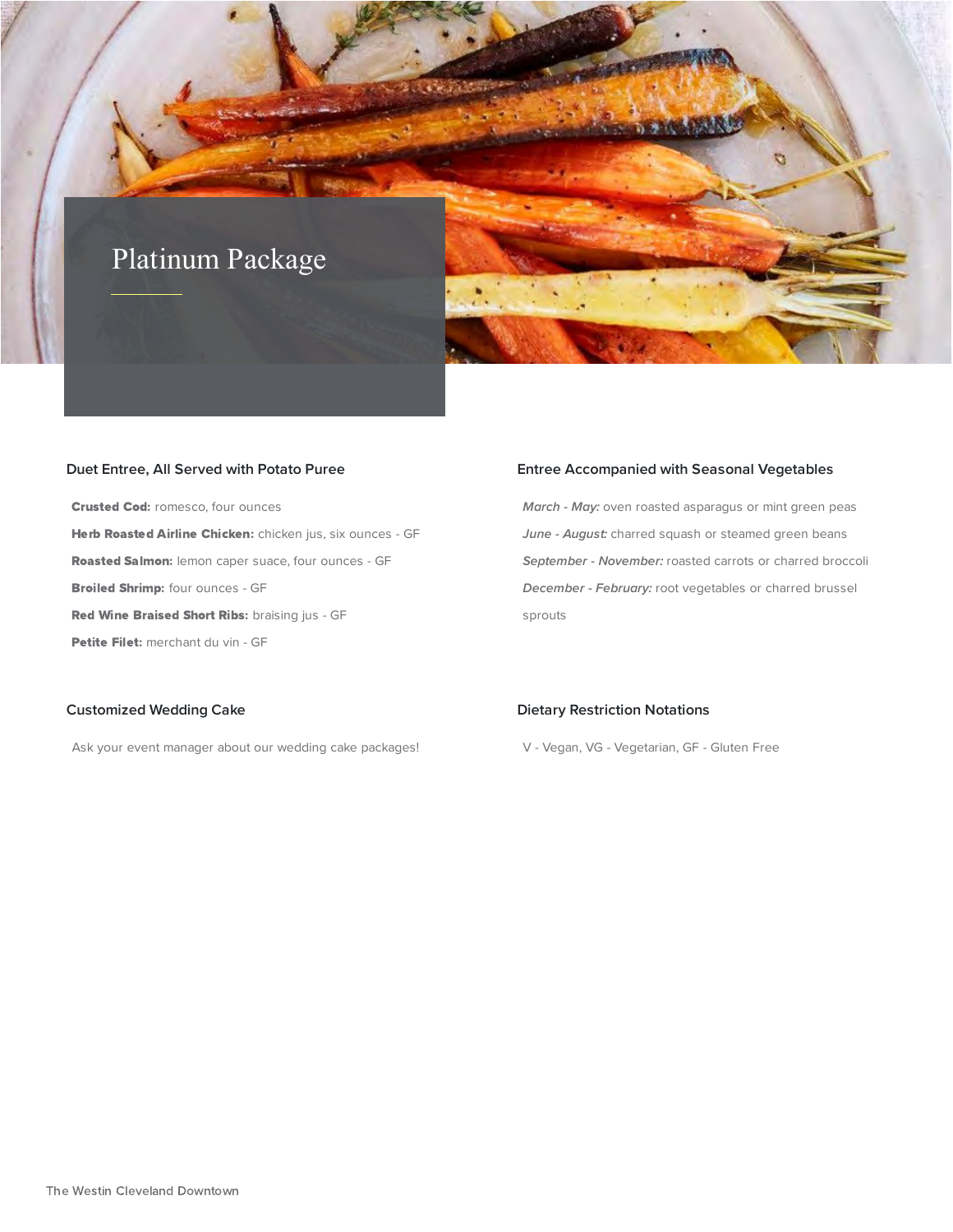## Platinum Package



### **Duet Entree, All Served with Potato Puree**

Crusted Cod: romesco, four ounces Herb Roasted Airline Chicken: chicken jus, six ounces - GF Roasted Salmon: lemon caper suace, four ounces - GF Broiled Shrimp: four ounces - GF Red Wine Braised Short Ribs: braising jus - GF Petite Filet: merchant du vin - GF

## **Entree Accompanied with Seasonal Vegetables**

**March - May:** oven roasted asparagus or mint green peas **June - August:** charred squash or steamed green beans **September - November:** roasted carrots or charred broccoli **December - February:** root vegetables or charred brussel sprouts

## **Customized Wedding Cake**

Ask your event manager about our wedding cake packages!

## **Dietary Restriction Notations**

V - Vegan, VG - Vegetarian, GF - Gluten Free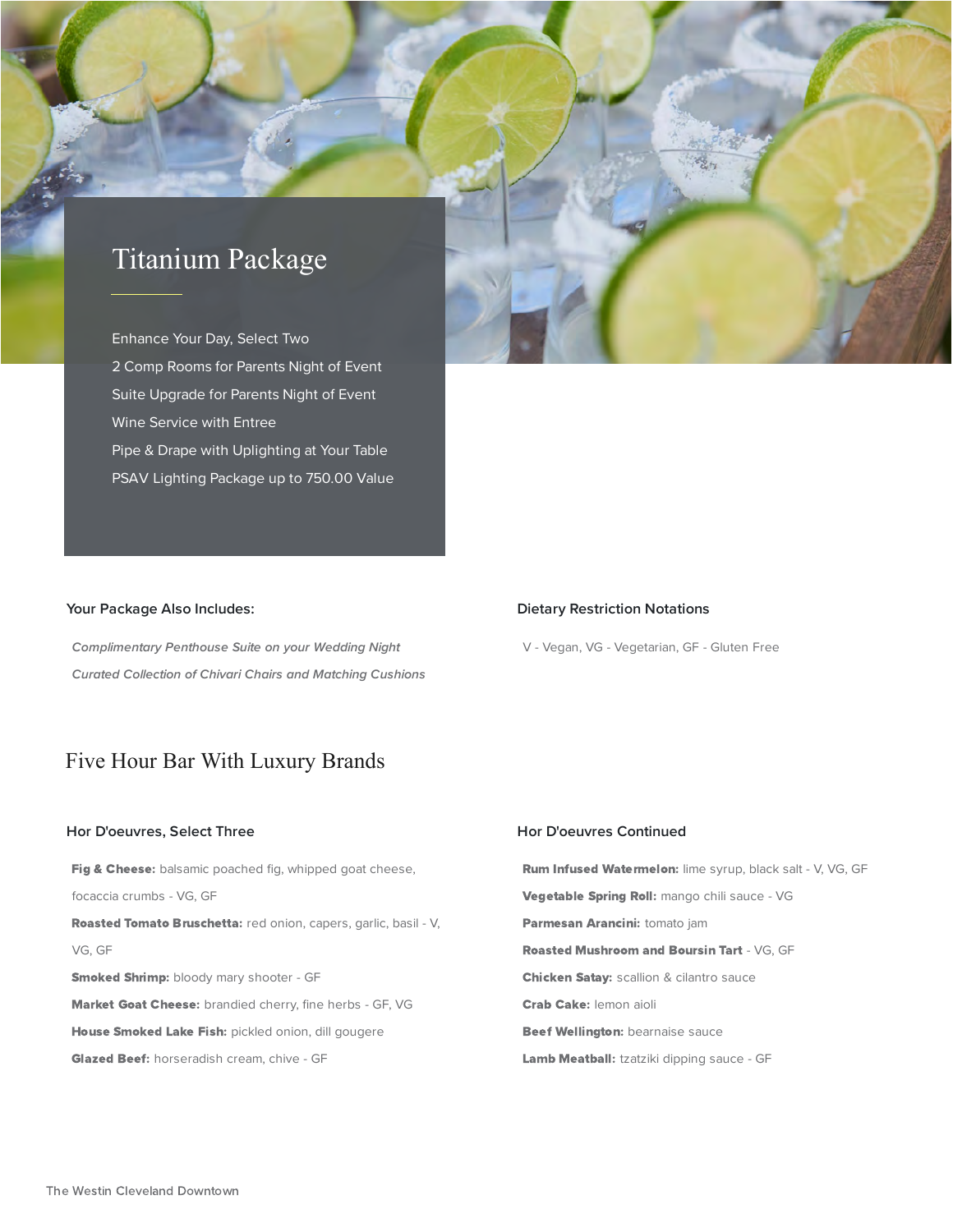## Titanium Package

Enhance Your Day, Select Two 2 Comp Rooms for Parents Night of Event Suite Upgrade for Parents Night of Event Wine Service with Entree Pipe & Drape with Uplighting at Your Table PSAV Lighting Package up to 750.00 Value

## **Your Package Also Includes:**

**Complimentary Penthouse Suite on your Wedding Night Curated Collection of Chivari Chairs and Matching Cushions**

## Five Hour Bar With Luxury Brands

## **Hor D'oeuvres, Select Three**

Fig & Cheese: balsamic poached fig, whipped goat cheese, focaccia crumbs - VG, GF Roasted Tomato Bruschetta: red onion, capers, garlic, basil - V, VG, GF **Smoked Shrimp:** bloody mary shooter - GF Market Goat Cheese: brandied cherry, fine herbs - GF, VG House Smoked Lake Fish: pickled onion, dill gougere

Glazed Beef: horseradish cream, chive - GF

## **Dietary Restriction Notations**

V - Vegan, VG - Vegetarian, GF - Gluten Free

## **Hor D'oeuvres Continued**

Rum Infused Watermelon: lime syrup, black salt - V, VG, GF Vegetable Spring Roll: mango chili sauce - VG Parmesan Arancini: tomato jam Roasted Mushroom and Boursin Tart - VG, GF Chicken Satay: scallion & cilantro sauce Crab Cake: lemon aioli Beef Wellington: bearnaise sauce Lamb Meatball: tzatziki dipping sauce - GF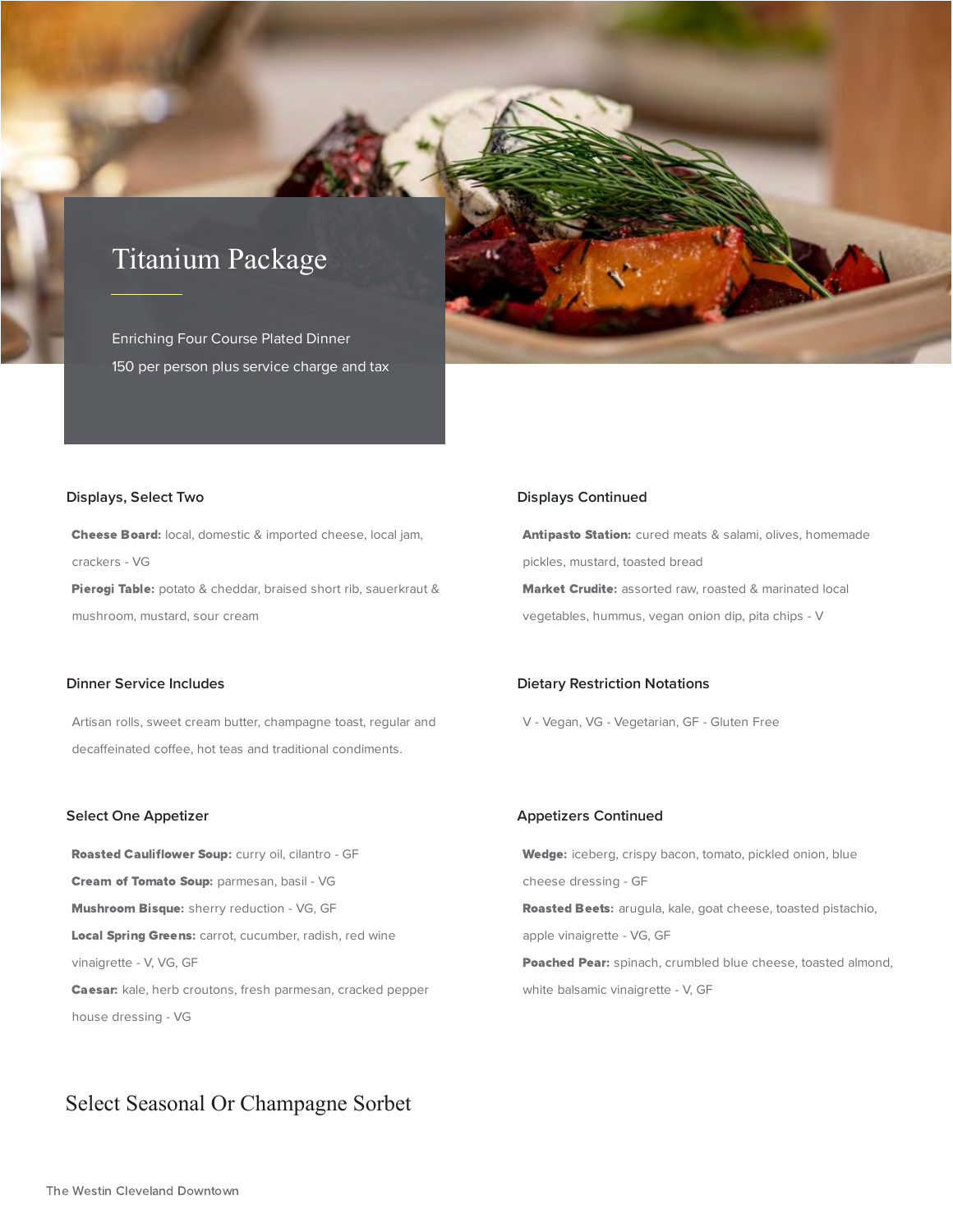## Titanium Package

Enriching Four Course Plated Dinner 150 per person plus service charge and tax

#### **Displays, Select Two**

Cheese Board: local, domestic & imported cheese, local jam, crackers - VG Pierogi Table: potato & cheddar, braised short rib, sauerkraut & mushroom, mustard, sour cream

## **Dinner Service Includes**

Artisan rolls, sweet cream butter, champagne toast, regular and decaffeinated coffee, hot teas and traditional condiments.

### **Select One Appetizer**

Roasted Cauliflower Soup: curry oil, cilantro - GF Cream of Tomato Soup: parmesan, basil - VG Mushroom Bisque: sherry reduction - VG, GF Local Spring Greens: carrot, cucumber, radish, red wine vinaigrette - V, VG, GF Caesar: kale, herb croutons, fresh parmesan, cracked pepper house dressing - VG

### **Displays Continued**

Antipasto Station: cured meats & salami, olives, homemade pickles, mustard, toasted bread Market Crudite: assorted raw, roasted & marinated local vegetables, hummus, vegan onion dip, pita chips - V

## **Dietary Restriction Notations**

V - Vegan, VG - Vegetarian, GF - Gluten Free

### **Appetizers Continued**

Wedge: iceberg, crispy bacon, tomato, pickled onion, blue cheese dressing - GF Roasted Beets: arugula, kale, goat cheese, toasted pistachio, apple vinaigrette - VG, GF Poached Pear: spinach, crumbled blue cheese, toasted almond,

white balsamic vinaigrette - V, GF

## Select Seasonal Or Champagne Sorbet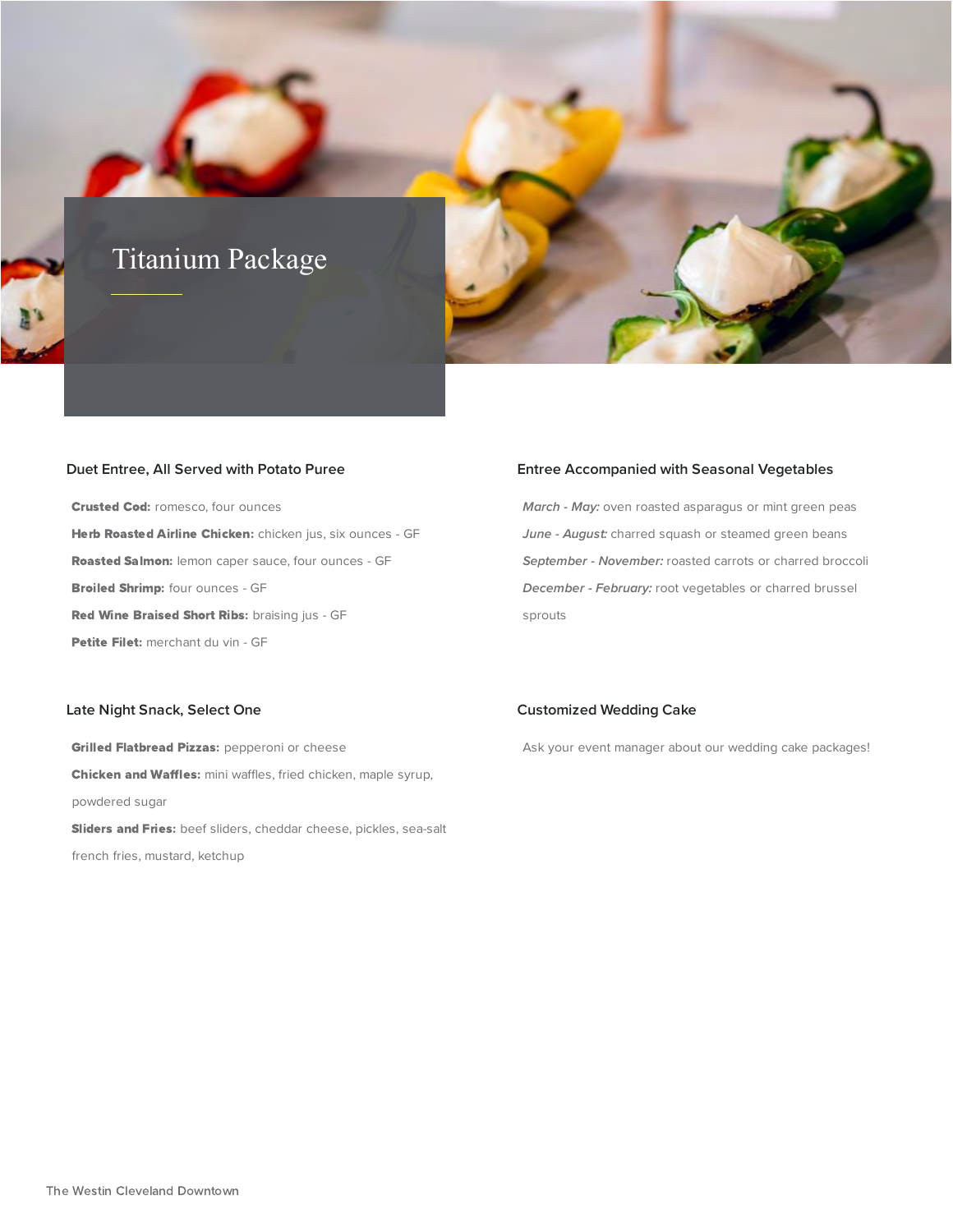## Titanium Package



#### **Duet Entree, All Served with Potato Puree**

Crusted Cod: romesco, four ounces Herb Roasted Airline Chicken: chicken jus, six ounces - GF Roasted Salmon: lemon caper sauce, four ounces - GF Broiled Shrimp: four ounces - GF Red Wine Braised Short Ribs: braising jus - GF Petite Filet: merchant du vin - GF

### **Entree Accompanied with Seasonal Vegetables**

**March - May:** oven roasted asparagus or mint green peas **June - August:** charred squash or steamed green beans **September - November:** roasted carrots or charred broccoli **December - February:** root vegetables or charred brussel sprouts

## **Late Night Snack, Select One**

**Grilled Flatbread Pizzas: pepperoni or cheese** Chicken and Waffles: mini waffles, fried chicken, maple syrup, powdered sugar Sliders and Fries: beef sliders, cheddar cheese, pickles, sea-salt french fries, mustard, ketchup

## **Customized Wedding Cake**

Ask your event manager about our wedding cake packages!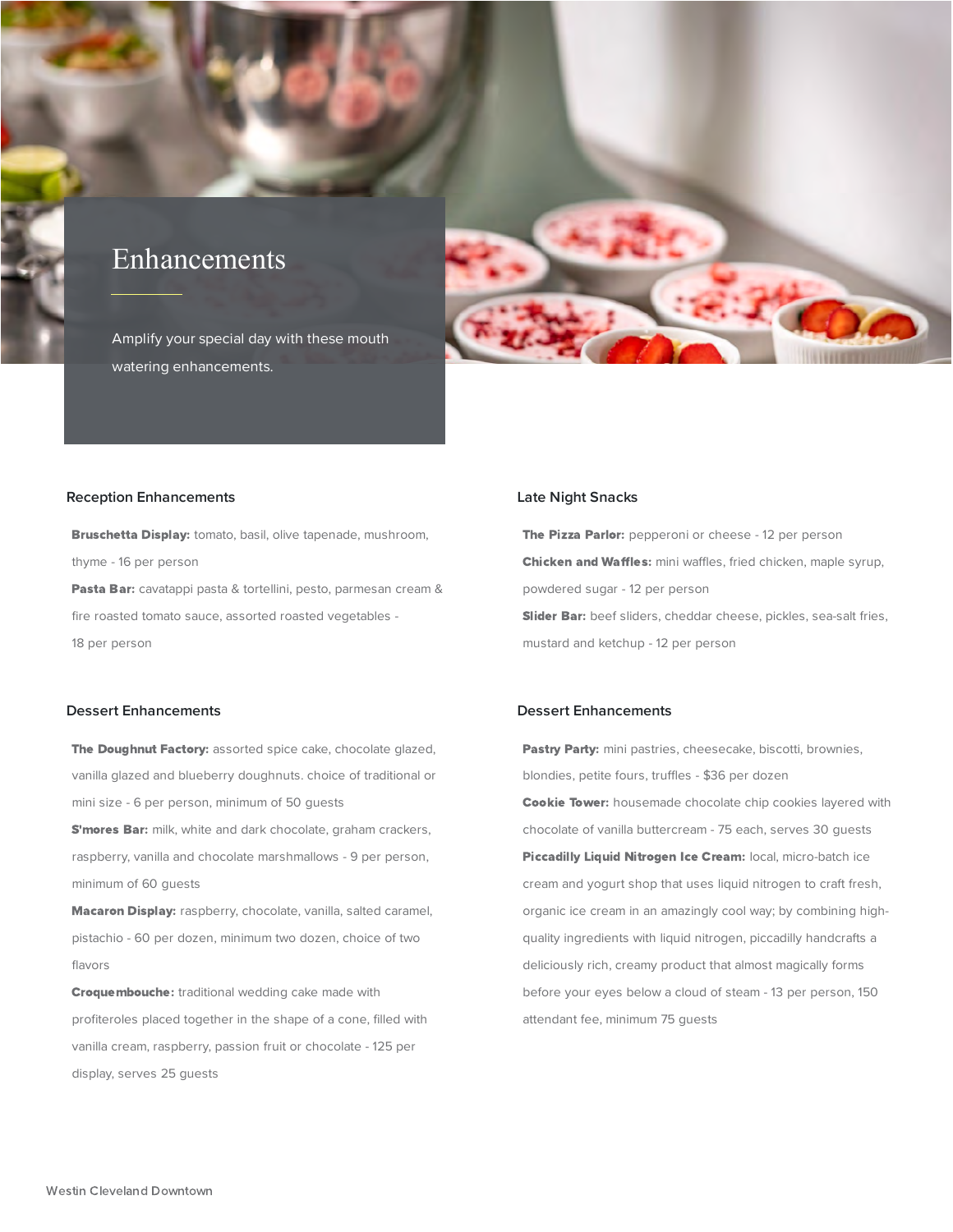## Enhancements

Amplify your special day with these mouth watering enhancements.



### **Reception Enhancements**

Bruschetta Display: tomato, basil, olive tapenade, mushroom, thyme - 16 per person Pasta Bar: cavatappi pasta & tortellini, pesto, parmesan cream & fire roasted tomato sauce, assorted roasted vegetables - 18 per person

## **Dessert Enhancements**

The Doughnut Factory: assorted spice cake, chocolate glazed, vanilla glazed and blueberry doughnuts. choice of traditional or mini size - 6 per person, minimum of 50 guests

S'mores Bar: milk, white and dark chocolate, graham crackers, raspberry, vanilla and chocolate marshmallows - 9 per person, minimum of 60 guests

Macaron Display: raspberry, chocolate, vanilla, salted caramel, pistachio - 60 per dozen, minimum two dozen, choice of two flavors

Croquembouche: traditional wedding cake made with profiteroles placed together in the shape of a cone, filled with vanilla cream, raspberry, passion fruit or chocolate - 125 per display, serves 25 guests

## **Late Night Snacks**

The Pizza Parlor: pepperoni or cheese - 12 per person Chicken and Waffles: mini waffles, fried chicken, maple syrup, powdered sugar - 12 per person Slider Bar: beef sliders, cheddar cheese, pickles, sea-salt fries, mustard and ketchup - 12 per person

## **Dessert Enhancements**

Pastry Party: mini pastries, cheesecake, biscotti, brownies, blondies, petite fours, truffles - \$36 per dozen **Cookie Tower:** housemade chocolate chip cookies layered with chocolate of vanilla buttercream - 75 each, serves 30 guests Piccadilly Liquid Nitrogen Ice Cream: local, micro-batch ice cream and yogurt shop that uses liquid nitrogen to craft fresh, organic ice cream in an amazingly cool way; by combining highquality ingredients with liquid nitrogen, piccadilly handcrafts a deliciously rich, creamy product that almost magically forms before your eyes below a cloud of steam - 13 per person, 150 attendant fee, minimum 75 guests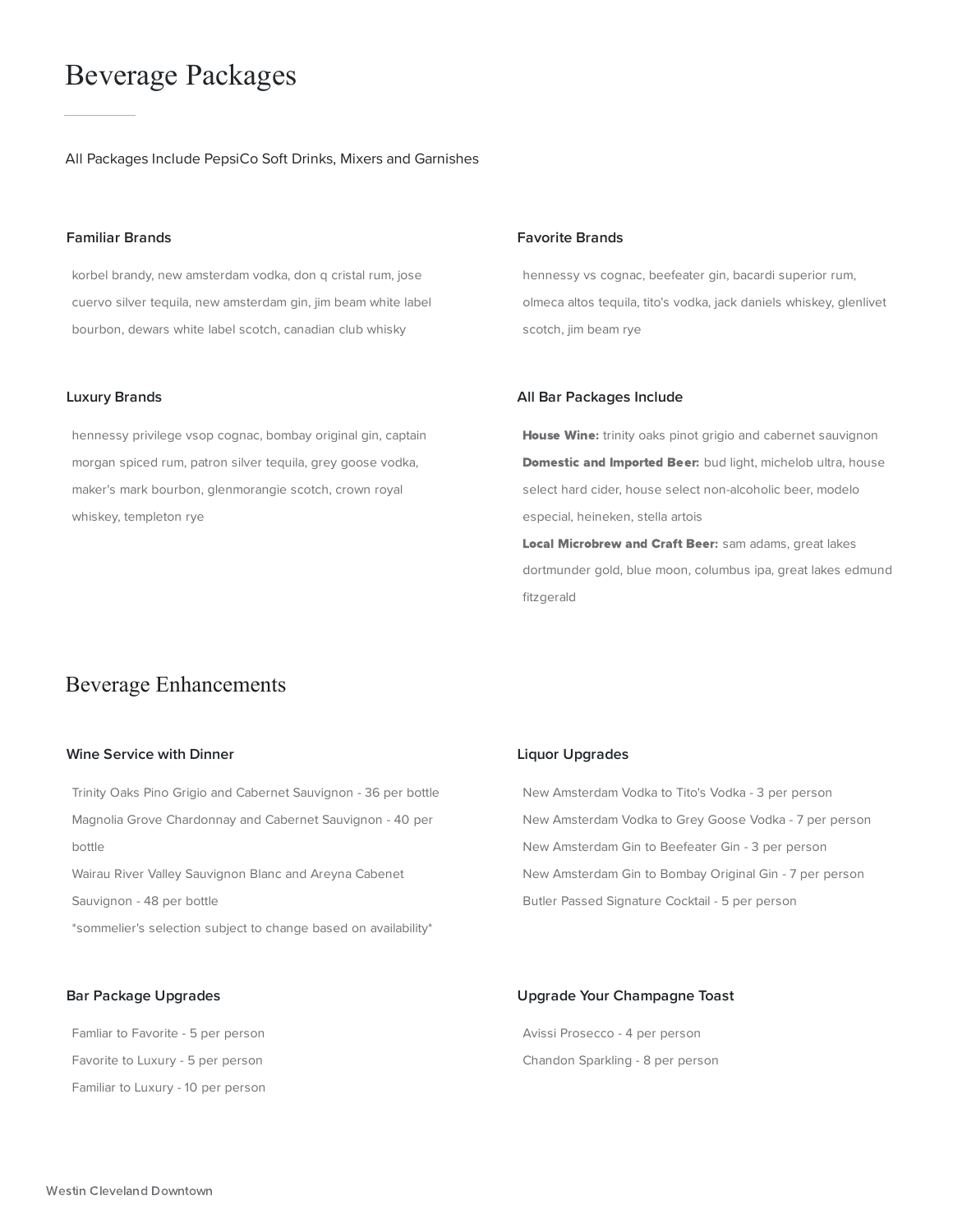## Beverage Packages

All Packages Include PepsiCo Soft Drinks, Mixers and Garnishes

### **Familiar Brands**

korbel brandy, new amsterdam vodka, don q cristal rum, jose cuervo silver tequila, new amsterdam gin, jim beam white label bourbon, dewars white label scotch, canadian club whisky

#### **Luxury Brands**

hennessy privilege vsop cognac, bombay original gin, captain morgan spiced rum, patron silver tequila, grey goose vodka, maker's mark bourbon, glenmorangie scotch, crown royal whiskey, templeton rye

#### **Favorite Brands**

hennessy vs cognac, beefeater gin, bacardi superior rum, olmeca altos tequila, tito's vodka, jack daniels whiskey, glenlivet scotch, jim beam rye

#### **All Bar Packages Include**

House Wine: trinity oaks pinot grigio and cabernet sauvignon Domestic and Imported Beer: bud light, michelob ultra, house select hard cider, house select non-alcoholic beer, modelo especial, heineken, stella artois

Local Microbrew and Craft Beer: sam adams, great lakes dortmunder gold, blue moon, columbus ipa, great lakes edmund fitzgerald

## Beverage Enhancements

### **Wine Service with Dinner**

Trinity Oaks Pino Grigio and Cabernet Sauvignon - 36 per bottle Magnolia Grove Chardonnay and Cabernet Sauvignon - 40 per bottle Wairau River Valley Sauvignon Blanc and Areyna Cabenet Sauvignon - 48 per bottle \*sommelier's selection subject to change based on availability\*

#### **Bar Package Upgrades**

Famliar to Favorite - 5 per person Favorite to Luxury - 5 per person Familiar to Luxury - 10 per person

## **Liquor Upgrades**

New Amsterdam Vodka to Tito's Vodka - 3 per person New Amsterdam Vodka to Grey Goose Vodka - 7 per person New Amsterdam Gin to Beefeater Gin - 3 per person New Amsterdam Gin to Bombay Original Gin - 7 per person Butler Passed Signature Cocktail - 5 per person

## **Upgrade Your Champagne Toast**

Avissi Prosecco - 4 per person Chandon Sparkling - 8 per person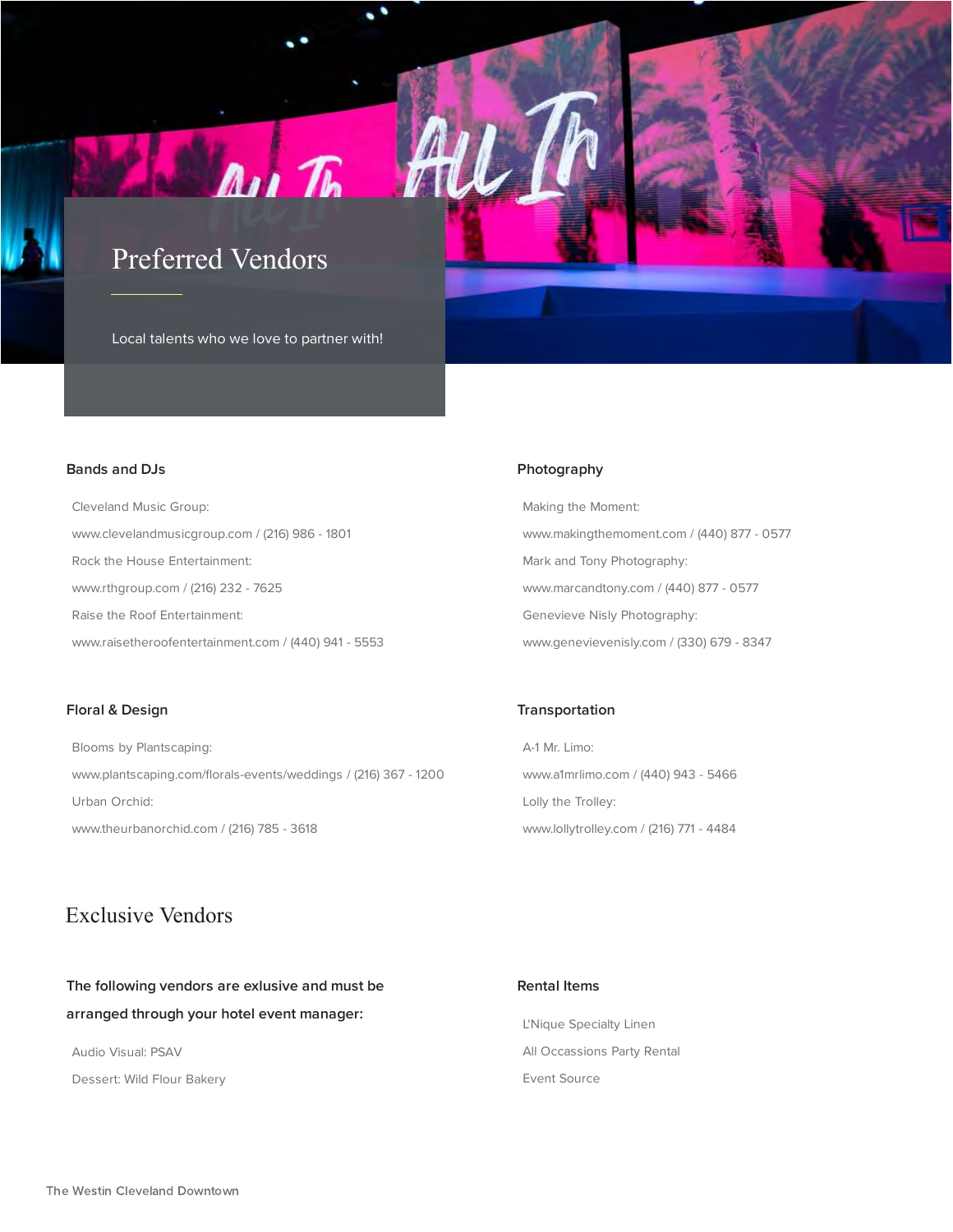## Preferred Vendors

Local talents who we love to partner with!

Au Th

### **Bands and DJs**

Cleveland Music Group: www.clevelandmusicgroup.com / (216) 986 - 1801 Rock the House Entertainment: www.rthgroup.com / (216) 232 - 7625 Raise the Roof Entertainment: www.raisetheroofentertainment.com / (440) 941 - 5553

## **Floral & Design**

Blooms by Plantscaping: www.plantscaping.com/florals-events/weddings / (216) 367 - 1200 Urban Orchid: www.theurbanorchid.com / (216) 785 - 3618

## Exclusive Vendors

**The following vendors are exlusive and must be arranged through your hotel event manager:**

Audio Visual: PSAV Dessert: Wild Flour Bakery

## **Photography**

Making the Moment: www.makingthemoment.com / (440) 877 - 0577 Mark and Tony Photography: www.marcandtony.com / (440) 877 - 0577 Genevieve Nisly Photography: www.genevievenisly.com / (330) 679 - 8347

## **Transportation**

A-1 Mr. Limo: www.a1mrlimo.com / (440) 943 - 5466 Lolly the Trolley: www.lollytrolley.com / (216) 771 - 4484

## **Rental Items**

L'Nique Specialty Linen All Occassions Party Rental Event Source